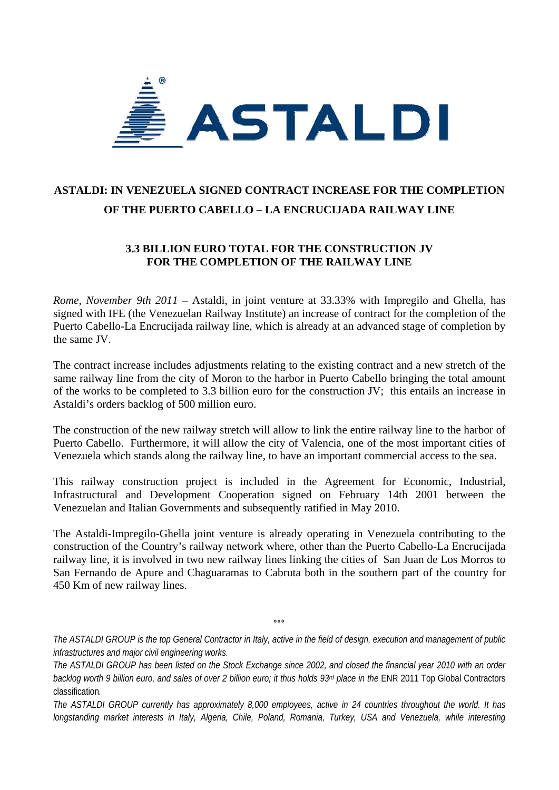

## **ASTALDI: IN VENEZUELA SIGNED CONTRACT INCREASE FOR THE COMPLETION OF THE PUERTO CABELLO – LA ENCRUCIJADA RAILWAY LINE**

## **3.3 BILLION EURO TOTAL FOR THE CONSTRUCTION JV FOR THE COMPLETION OF THE RAILWAY LINE**

*Rome, November 9th 2011* – Astaldi, in joint venture at 33.33% with Impregilo and Ghella, has signed with IFE (the Venezuelan Railway Institute) an increase of contract for the completion of the Puerto Cabello-La Encrucijada railway line, which is already at an advanced stage of completion by the same JV.

The contract increase includes adjustments relating to the existing contract and a new stretch of the same railway line from the city of Moron to the harbor in Puerto Cabello bringing the total amount of the works to be completed to 3.3 billion euro for the construction JV; this entails an increase in Astaldi's orders backlog of 500 million euro.

The construction of the new railway stretch will allow to link the entire railway line to the harbor of Puerto Cabello. Furthermore, it will allow the city of Valencia, one of the most important cities of Venezuela which stands along the railway line, to have an important commercial access to the sea.

This railway construction project is included in the Agreement for Economic, Industrial, Infrastructural and Development Cooperation signed on February 14th 2001 between the Venezuelan and Italian Governments and subsequently ratified in May 2010.

The Astaldi-Impregilo-Ghella joint venture is already operating in Venezuela contributing to the construction of the Country's railway network where, other than the Puerto Cabello-La Encrucijada railway line, it is involved in two new railway lines linking the cities of San Juan de Los Morros to San Fernando de Apure and Chaguaramas to Cabruta both in the southern part of the country for 450 Km of new railway lines.

**°°°** 

*The ASTALDI GROUP is the top General Contractor in Italy, active in the field of design, execution and management of public infrastructures and major civil engineering works.* 

*The ASTALDI GROUP has been listed on the Stock Exchange since 2002, and closed the financial year 2010 with an order*  backlog worth 9 billion euro, and sales of over 2 billion euro; it thus holds 93<sup>rd</sup> place in the ENR 2011 Top Global Contractors classification*.* 

*The ASTALDI GROUP currently has approximately 8,000 employees, active in 24 countries throughout the world. It has longstanding market interests in Italy, Algeria, Chile, Poland, Romania, Turkey, USA and Venezuela, while interesting*